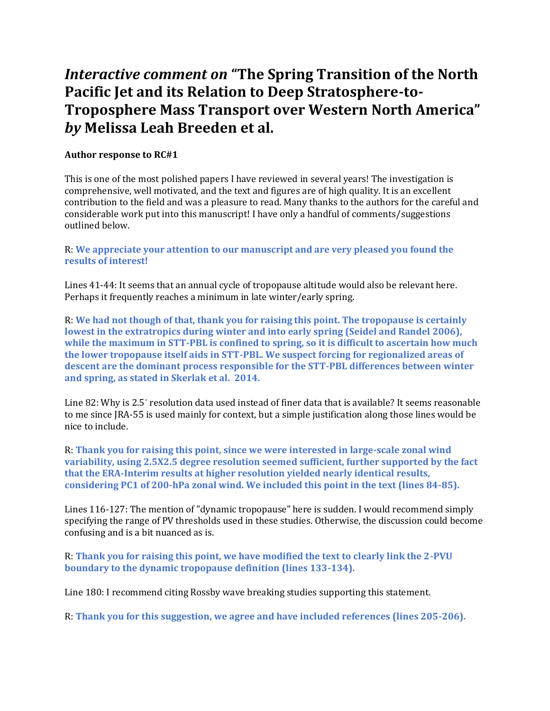## *Interactive comment on* **"The Spring Transition of the North Pacific Jet and its Relation to Deep Stratosphere-to-Troposphere Mass Transport over Western North America"**  *by* **Melissa Leah Breeden et al.**

## **Author response to RC#1**

This is one of the most polished papers I have reviewed in several years! The investigation is comprehensive, well motivated, and the text and figures are of high quality. It is an excellent contribution to the field and was a pleasure to read. Many thanks to the authors for the careful and considerable work put into this manuscript! I have only a handful of comments/suggestions outlined below.

R: **We appreciate your attention to our manuscript and are very pleased you found the results of interest!**

Lines 41-44: It seems that an annual cycle of tropopause altitude would also be relevant here. Perhaps it frequently reaches a minimum in late winter/early spring.

R: **We had not though of that, thank you for raising this point. The tropopause is certainly lowest in the extratropics during winter and into early spring (Seidel and Randel 2006), while the maximum in STT-PBL is confined to spring, so it is difficult to ascertain how much the lower tropopause itself aids in STT-PBL. We suspect forcing for regionalized areas of descent are the dominant process responsible for the STT-PBL differences between winter and spring, as stated in Skerlak et al. 2014.**

Line 82: Why is 2.5° resolution data used instead of finer data that is available? It seems reasonable to me since JRA-55 is used mainly for context, but a simple justification along those lines would be nice to include.

R: **Thank you for raising this point, since we were interested in large-scale zonal wind variability, using 2.5X2.5 degree resolution seemed sufficient, further supported by the fact that the ERA-Interim results at higher resolution yielded nearly identical results, considering PC1 of 200-hPa zonal wind. We included this point in the text (lines 84-85).**

Lines 116-127: The mention of "dynamic tropopause" here is sudden. I would recommend simply specifying the range of PV thresholds used in these studies. Otherwise, the discussion could become confusing and is a bit nuanced as is.

R: **Thank you for raising this point, we have modified the text to clearly link the 2-PVU boundary to the dynamic tropopause definition (lines 133-134).** 

Line 180: I recommend citing Rossby wave breaking studies supporting this statement.

R: **Thank you for this suggestion, we agree and have included references (lines 205-206).**